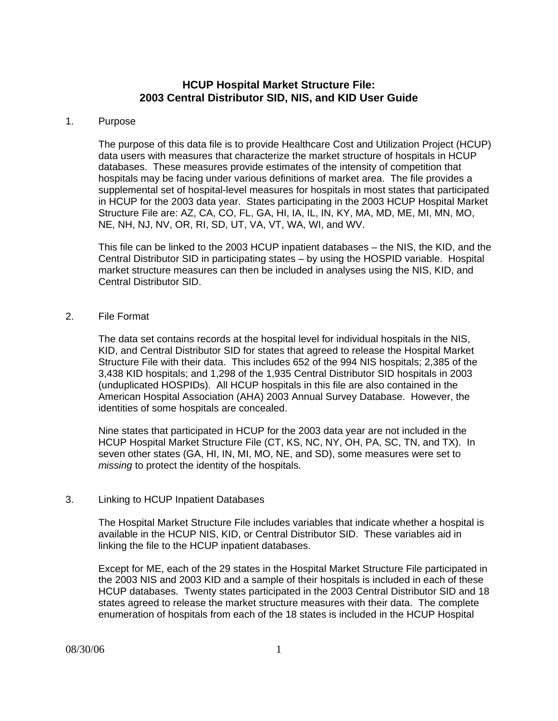# **HCUP Hospital Market Structure File: 2003 Central Distributor SID, NIS, and KID User Guide**

#### 1. Purpose

The purpose of this data file is to provide Healthcare Cost and Utilization Project (HCUP) data users with measures that characterize the market structure of hospitals in HCUP databases. These measures provide estimates of the intensity of competition that hospitals may be facing under various definitions of market area. The file provides a supplemental set of hospital-level measures for hospitals in most states that participated in HCUP for the 2003 data year. States participating in the 2003 HCUP Hospital Market Structure File are: AZ, CA, CO, FL, GA, HI, IA, IL, IN, KY, MA, MD, ME, MI, MN, MO, NE, NH, NJ, NV, OR, RI, SD, UT, VA, VT, WA, WI, and WV.

This file can be linked to the 2003 HCUP inpatient databases – the NIS, the KID, and the Central Distributor SID in participating states – by using the HOSPID variable. Hospital market structure measures can then be included in analyses using the NIS, KID, and Central Distributor SID.

## 2. File Format

The data set contains records at the hospital level for individual hospitals in the NIS, KID, and Central Distributor SID for states that agreed to release the Hospital Market Structure File with their data. This includes 652 of the 994 NIS hospitals; 2,385 of the 3,438 KID hospitals; and 1,298 of the 1,935 Central Distributor SID hospitals in 2003 (unduplicated HOSPIDs). All HCUP hospitals in this file are also contained in the American Hospital Association (AHA) 2003 Annual Survey Database. However, the identities of some hospitals are concealed.

Nine states that participated in HCUP for the 2003 data year are not included in the HCUP Hospital Market Structure File (CT, KS, NC, NY, OH, PA, SC, TN, and TX). In seven other states (GA, HI, IN, MI, MO, NE, and SD), some measures were set to *missing* to protect the identity of the hospitals.

## 3. Linking to HCUP Inpatient Databases

The Hospital Market Structure File includes variables that indicate whether a hospital is available in the HCUP NIS, KID, or Central Distributor SID. These variables aid in linking the file to the HCUP inpatient databases.

Except for ME, each of the 29 states in the Hospital Market Structure File participated in the 2003 NIS and 2003 KID and a sample of their hospitals is included in each of these HCUP databases. Twenty states participated in the 2003 Central Distributor SID and 18 states agreed to release the market structure measures with their data. The complete enumeration of hospitals from each of the 18 states is included in the HCUP Hospital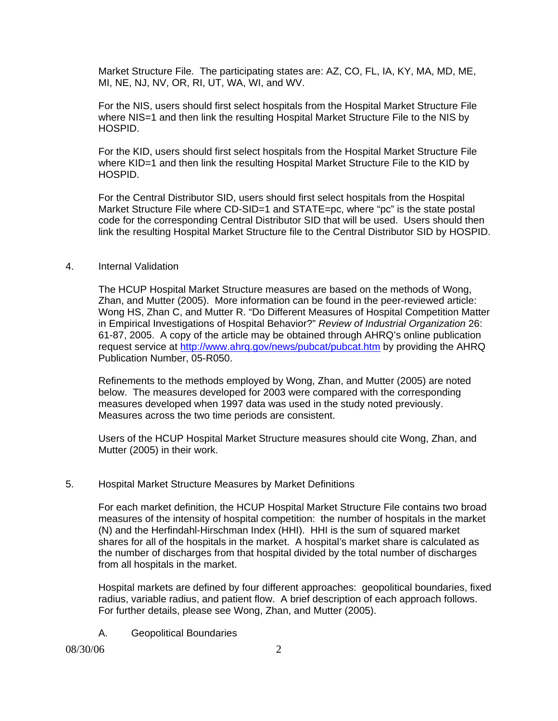Market Structure File. The participating states are: AZ, CO, FL, IA, KY, MA, MD, ME, MI, NE, NJ, NV, OR, RI, UT, WA, WI, and WV.

For the NIS, users should first select hospitals from the Hospital Market Structure File where NIS=1 and then link the resulting Hospital Market Structure File to the NIS by HOSPID.

For the KID, users should first select hospitals from the Hospital Market Structure File where KID=1 and then link the resulting Hospital Market Structure File to the KID by HOSPID.

For the Central Distributor SID, users should first select hospitals from the Hospital Market Structure File where CD-SID=1 and STATE=pc, where "pc" is the state postal code for the corresponding Central Distributor SID that will be used. Users should then link the resulting Hospital Market Structure file to the Central Distributor SID by HOSPID.

#### 4. Internal Validation

The HCUP Hospital Market Structure measures are based on the methods of Wong, Zhan, and Mutter (2005). More information can be found in the peer-reviewed article: Wong HS, Zhan C, and Mutter R. "Do Different Measures of Hospital Competition Matter in Empirical Investigations of Hospital Behavior?" *Review of Industrial Organization* 26: 61-87, 2005. A copy of the article may be obtained through AHRQ's online publication request service at http://www.ahrq.gov/news/pubcat/pubcat.htm by providing the AHRQ Publication Number, 05-R050.

Refinements to the methods employed by Wong, Zhan, and Mutter (2005) are noted below. The measures developed for 2003 were compared with the corresponding measures developed when 1997 data was used in the study noted previously. Measures across the two time periods are consistent.

Users of the HCUP Hospital Market Structure measures should cite Wong, Zhan, and Mutter (2005) in their work.

## 5. Hospital Market Structure Measures by Market Definitions

For each market definition, the HCUP Hospital Market Structure File contains two broad measures of the intensity of hospital competition: the number of hospitals in the market (N) and the Herfindahl-Hirschman Index (HHI). HHI is the sum of squared market shares for all of the hospitals in the market. A hospital's market share is calculated as the number of discharges from that hospital divided by the total number of discharges from all hospitals in the market.

Hospital markets are defined by four different approaches: geopolitical boundaries, fixed radius, variable radius, and patient flow. A brief description of each approach follows. For further details, please see Wong, Zhan, and Mutter (2005).

A. Geopolitical Boundaries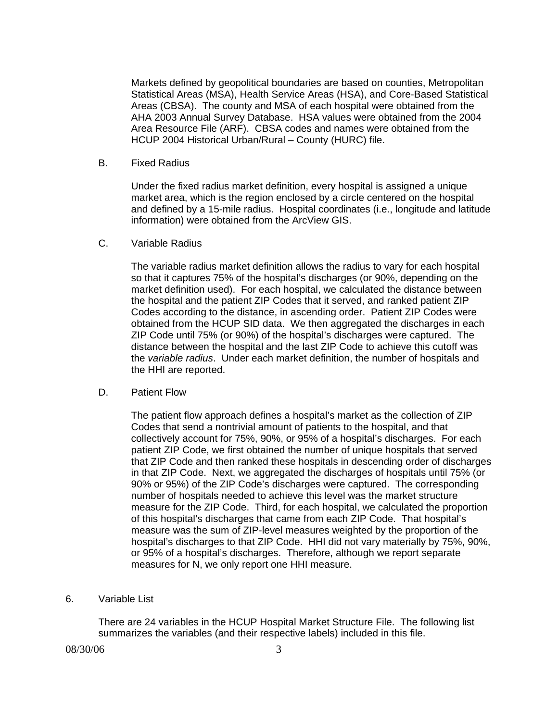Markets defined by geopolitical boundaries are based on counties, Metropolitan Statistical Areas (MSA), Health Service Areas (HSA), and Core-Based Statistical Areas (CBSA). The county and MSA of each hospital were obtained from the AHA 2003 Annual Survey Database. HSA values were obtained from the 2004 Area Resource File (ARF). CBSA codes and names were obtained from the HCUP 2004 Historical Urban/Rural – County (HURC) file.

B. Fixed Radius

Under the fixed radius market definition, every hospital is assigned a unique market area, which is the region enclosed by a circle centered on the hospital and defined by a 15-mile radius. Hospital coordinates (i.e., longitude and latitude information) were obtained from the ArcView GIS.

C. Variable Radius

The variable radius market definition allows the radius to vary for each hospital so that it captures 75% of the hospital's discharges (or 90%, depending on the market definition used). For each hospital, we calculated the distance between the hospital and the patient ZIP Codes that it served, and ranked patient ZIP Codes according to the distance, in ascending order. Patient ZIP Codes were obtained from the HCUP SID data. We then aggregated the discharges in each ZIP Code until 75% (or 90%) of the hospital's discharges were captured. The distance between the hospital and the last ZIP Code to achieve this cutoff was the *variable radius*. Under each market definition, the number of hospitals and the HHI are reported.

D. Patient Flow

The patient flow approach defines a hospital's market as the collection of ZIP Codes that send a nontrivial amount of patients to the hospital, and that collectively account for 75%, 90%, or 95% of a hospital's discharges. For each patient ZIP Code, we first obtained the number of unique hospitals that served that ZIP Code and then ranked these hospitals in descending order of discharges in that ZIP Code. Next, we aggregated the discharges of hospitals until 75% (or 90% or 95%) of the ZIP Code's discharges were captured. The corresponding number of hospitals needed to achieve this level was the market structure measure for the ZIP Code. Third, for each hospital, we calculated the proportion of this hospital's discharges that came from each ZIP Code. That hospital's measure was the sum of ZIP-level measures weighted by the proportion of the hospital's discharges to that ZIP Code. HHI did not vary materially by 75%, 90%, or 95% of a hospital's discharges. Therefore, although we report separate measures for N, we only report one HHI measure.

6. Variable List

There are 24 variables in the HCUP Hospital Market Structure File. The following list summarizes the variables (and their respective labels) included in this file.